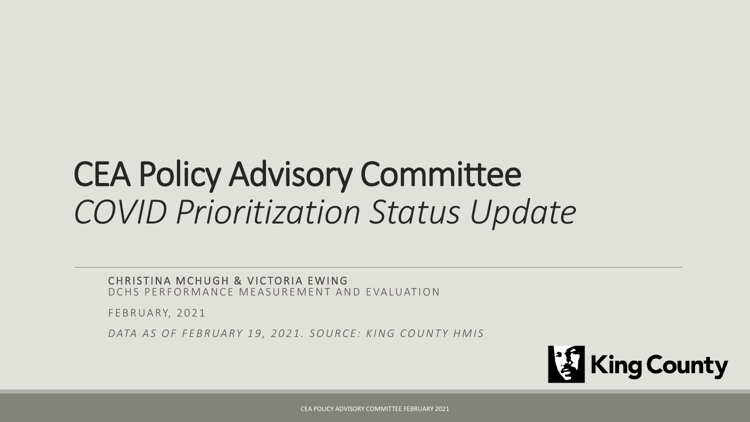## CEA Policy Advisory Committee *COVID Prioritization Status Update*

CHRISTINA MCHUGH & VICTORIA EWING D C H S P E R F O R M A N C E M E A S U R E M E N T A N D E VALUATION

FEBRUARY, 2021

DATA AS OF FEBRUARY 19, 2021. SOURCE: KING COUNTY HMIS



CEA POLICY ADVISORY COMMITTEE FEBRUARY 2021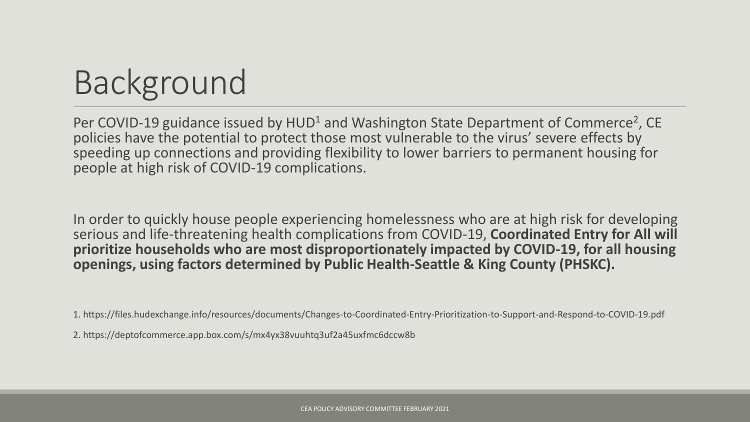# Background

Per COVID-19 guidance issued by HUD<sup>1</sup> and Washington State Department of Commerce<sup>2</sup>, CE policies have the potential to protect those most vulnerable to the virus' severe effects by speeding up connections and providing flexibility to lower barriers to permanent housing for people at high risk of COVID-19 complications.

In order to quickly house people experiencing homelessness who are at high risk for developing serious and life-threatening health complications from COVID-19, **Coordinated Entry for All will prioritize households who are most disproportionately impacted by COVID-19, for all housing openings, using factors determined by Public Health-Seattle & King County (PHSKC).**

1. https://files.hudexchange.info/resources/documents/Changes-to-Coordinated-Entry-Prioritization-to-Support-and-Respond-to-COVID-19.pdf

2. https://deptofcommerce.app.box.com/s/mx4yx38vuuhtq3uf2a45uxfmc6dccw8b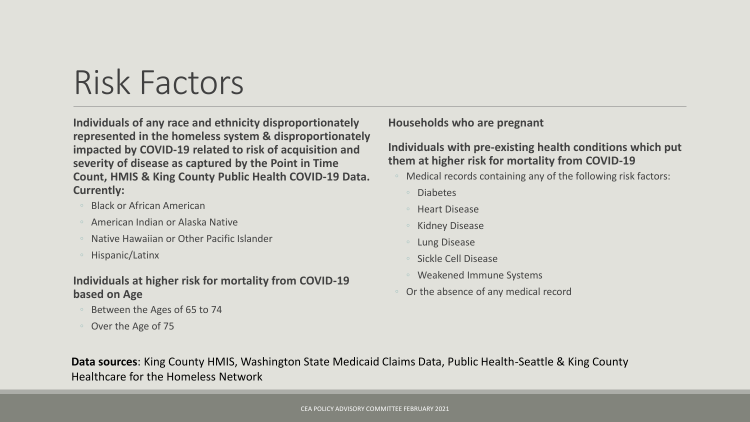### Risk Factors

**Individuals of any race and ethnicity disproportionately represented in the homeless system & disproportionately impacted by COVID-19 related to risk of acquisition and severity of disease as captured by the Point in Time Count, HMIS & King County Public Health COVID-19 Data. Currently:**

- Black or African American
- American Indian or Alaska Native
- Native Hawaiian or Other Pacific Islander
- Hispanic/Latinx

#### **Individuals at higher risk for mortality from COVID-19 based on Age**

- Between the Ages of 65 to 74
- Over the Age of 75

**Households who are pregnant** 

#### **Individuals with pre-existing health conditions which put them at higher risk for mortality from COVID-19**

- Medical records containing any of the following risk factors:
	- **Diabetes**
	- Heart Disease
	- Kidney Disease
	- Lung Disease
	- Sickle Cell Disease
	- Weakened Immune Systems
- Or the absence of any medical record

**Data sources**: King County HMIS, Washington State Medicaid Claims Data, Public Health-Seattle & King County Healthcare for the Homeless Network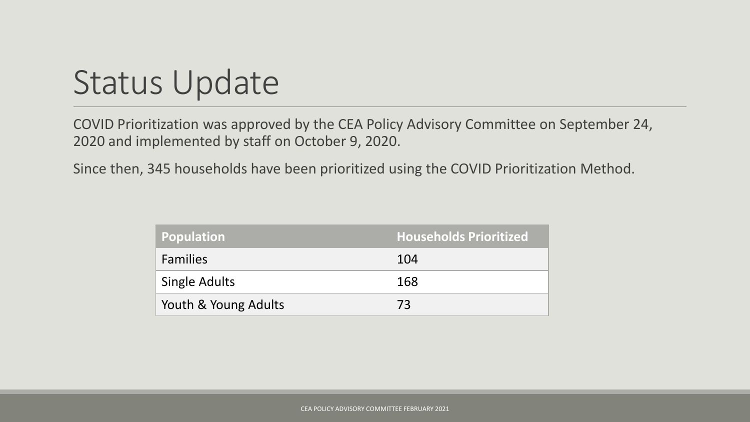## Status Update

COVID Prioritization was approved by the CEA Policy Advisory Committee on September 24, 2020 and implemented by staff on October 9, 2020.

Since then, 345 households have been prioritized using the COVID Prioritization Method.

| <b>Population</b>    | <b>Households Prioritized</b> |
|----------------------|-------------------------------|
| <b>Families</b>      | 104                           |
| <b>Single Adults</b> | 168                           |
| Youth & Young Adults | 73                            |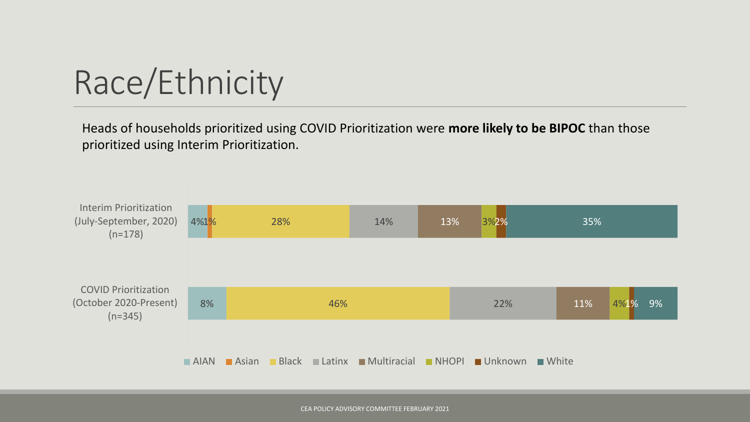Race/Ethnicity

Heads of households prioritized using COVID Prioritization were **more likely to be BIPOC** than those prioritized using Interim Prioritization.



CEA POLICY ADVISORY COMMITTEE FEBRUARY 2021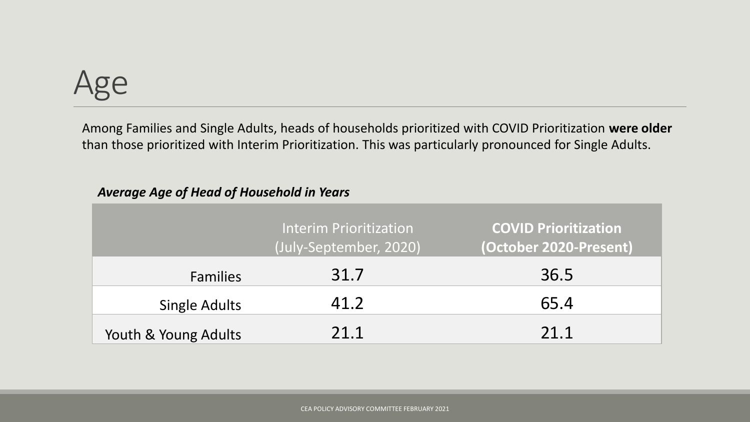## Age

Among Families and Single Adults, heads of households prioritized with COVID Prioritization **were older**  than those prioritized with Interim Prioritization. This was particularly pronounced for Single Adults.

#### *Average Age of Head of Household in Years*

|                      | Interim Prioritization<br>(July-September, 2020) | <b>COVID Prioritization</b><br>(October 2020-Present) |
|----------------------|--------------------------------------------------|-------------------------------------------------------|
| <b>Families</b>      | 31.7                                             | 36.5                                                  |
| <b>Single Adults</b> | 41.2                                             | 65.4                                                  |
| Youth & Young Adults | 21.1                                             | 21.1                                                  |